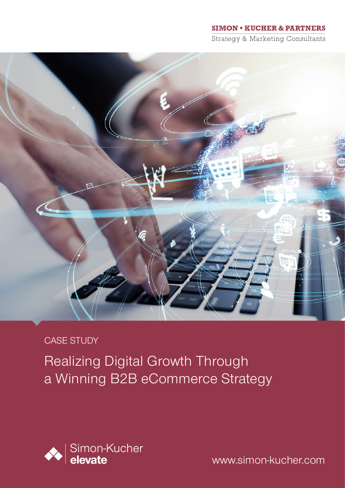### **SIMON + KUCHER & PARTNERS**

**Strategy & Marketing Consultants** 



## CASE STUDY

Realizing Digital Growth Through a Winning B2B eCommerce Strategy



www.simon-kucher.com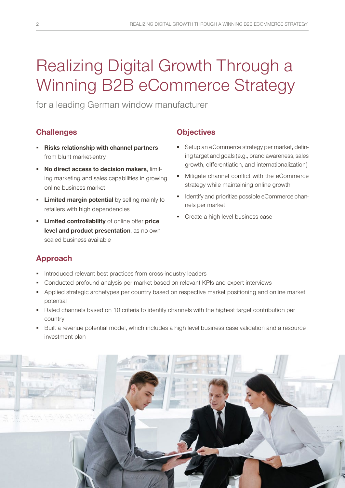# Realizing Digital Growth Through a Winning B2B eCommerce Strategy

for a leading German window manufacturer

## **Challenges**

- **Risks relationship with channel partners** from blunt market-entry
- **No direct access to decision makers**, limiting marketing and sales capabilities in growing online business market
- **Limited margin potential** by selling mainly to retailers with high dependencies
- **Limited controllability** of online offer **price level and product presentation**, as no own scaled business available

## **Objectives**

- **Setup an eCommerce strategy per market, defin**ing target and goals (e.g., brand awareness, sales growth, differentiation, and internationalization)
- Mitigate channel conflict with the eCommerce strategy while maintaining online growth
- **IDENTIFY and prioritize possible eCommerce chan**nels per market
- Create a high-level business case

## **Approach**

- **Introduced relevant best practices from cross-industry leaders**
- Conducted profound analysis per market based on relevant KPIs and expert interviews
- Applied strategic archetypes per country based on respective market positioning and online market potential
- Rated channels based on 10 criteria to identify channels with the highest target contribution per country
- Built a revenue potential model, which includes a high level business case validation and a resource investment plan

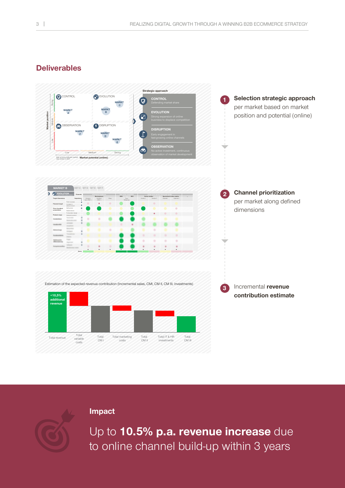## **Deliverables**



**Impact**



Up to **10.5% p.a. revenue increase** due to online channel build-up within 3 years